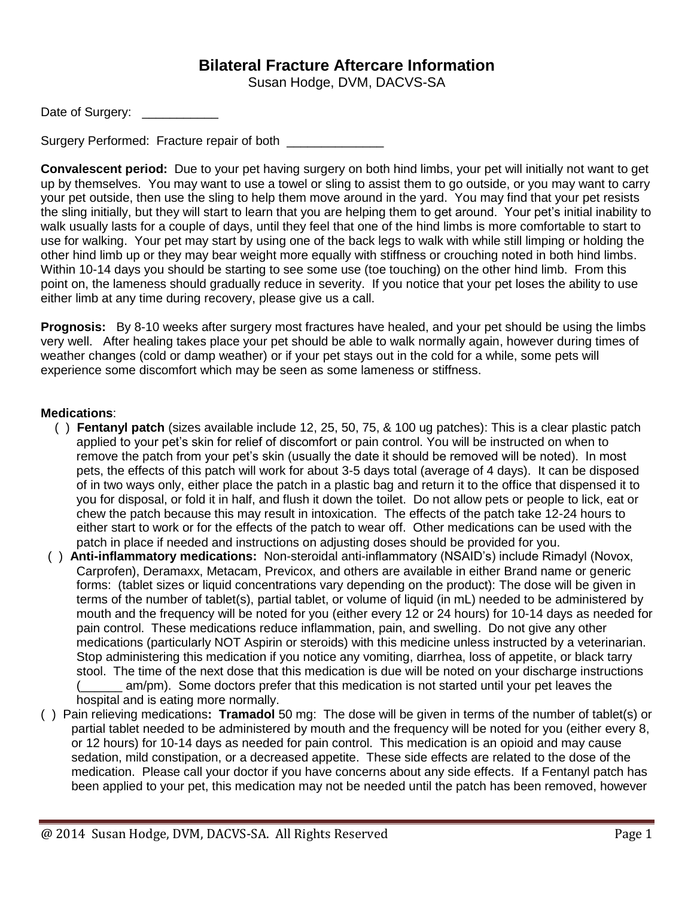## **Bilateral Fracture Aftercare Information**

Susan Hodge, DVM, DACVS-SA

Date of Surgery: \_\_\_\_\_\_\_\_\_\_

Surgery Performed: Fracture repair of both

**Convalescent period:** Due to your pet having surgery on both hind limbs, your pet will initially not want to get up by themselves. You may want to use a towel or sling to assist them to go outside, or you may want to carry your pet outside, then use the sling to help them move around in the yard. You may find that your pet resists the sling initially, but they will start to learn that you are helping them to get around. Your pet's initial inability to walk usually lasts for a couple of days, until they feel that one of the hind limbs is more comfortable to start to use for walking. Your pet may start by using one of the back legs to walk with while still limping or holding the other hind limb up or they may bear weight more equally with stiffness or crouching noted in both hind limbs. Within 10-14 days you should be starting to see some use (toe touching) on the other hind limb. From this point on, the lameness should gradually reduce in severity. If you notice that your pet loses the ability to use either limb at any time during recovery, please give us a call.

**Prognosis:** By 8-10 weeks after surgery most fractures have healed, and your pet should be using the limbs very well. After healing takes place your pet should be able to walk normally again, however during times of weather changes (cold or damp weather) or if your pet stays out in the cold for a while, some pets will experience some discomfort which may be seen as some lameness or stiffness.

## **Medications**:

- ( ) **Fentanyl patch** (sizes available include 12, 25, 50, 75, & 100 ug patches): This is a clear plastic patch applied to your pet's skin for relief of discomfort or pain control. You will be instructed on when to remove the patch from your pet's skin (usually the date it should be removed will be noted). In most pets, the effects of this patch will work for about 3-5 days total (average of 4 days). It can be disposed of in two ways only, either place the patch in a plastic bag and return it to the office that dispensed it to you for disposal, or fold it in half, and flush it down the toilet. Do not allow pets or people to lick, eat or chew the patch because this may result in intoxication. The effects of the patch take 12-24 hours to either start to work or for the effects of the patch to wear off. Other medications can be used with the patch in place if needed and instructions on adjusting doses should be provided for you.
- ( ) **Anti-inflammatory medications:** Non-steroidal anti-inflammatory (NSAID's) include Rimadyl (Novox, Carprofen), Deramaxx, Metacam, Previcox, and others are available in either Brand name or generic forms: (tablet sizes or liquid concentrations vary depending on the product): The dose will be given in terms of the number of tablet(s), partial tablet, or volume of liquid (in mL) needed to be administered by mouth and the frequency will be noted for you (either every 12 or 24 hours) for 10-14 days as needed for pain control. These medications reduce inflammation, pain, and swelling. Do not give any other medications (particularly NOT Aspirin or steroids) with this medicine unless instructed by a veterinarian. Stop administering this medication if you notice any vomiting, diarrhea, loss of appetite, or black tarry stool. The time of the next dose that this medication is due will be noted on your discharge instructions am/pm). Some doctors prefer that this medication is not started until your pet leaves the hospital and is eating more normally.
- ( ) Pain relieving medications**: Tramadol** 50 mg: The dose will be given in terms of the number of tablet(s) or partial tablet needed to be administered by mouth and the frequency will be noted for you (either every 8, or 12 hours) for 10-14 days as needed for pain control. This medication is an opioid and may cause sedation, mild constipation, or a decreased appetite. These side effects are related to the dose of the medication. Please call your doctor if you have concerns about any side effects. If a Fentanyl patch has been applied to your pet, this medication may not be needed until the patch has been removed, however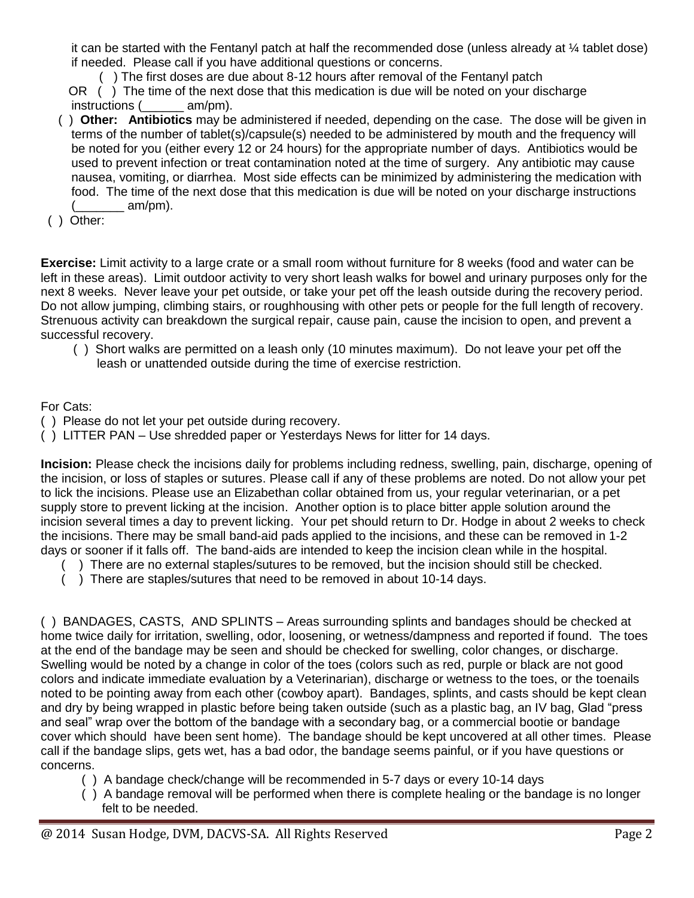it can be started with the Fentanyl patch at half the recommended dose (unless already at ¼ tablet dose) if needed. Please call if you have additional questions or concerns.

( ) The first doses are due about 8-12 hours after removal of the Fentanyl patch

 OR ( ) The time of the next dose that this medication is due will be noted on your discharge instructions (  $am/m$ ).

- ( ) **Other: Antibiotics** may be administered if needed, depending on the case. The dose will be given in terms of the number of tablet(s)/capsule(s) needed to be administered by mouth and the frequency will be noted for you (either every 12 or 24 hours) for the appropriate number of days. Antibiotics would be used to prevent infection or treat contamination noted at the time of surgery. Any antibiotic may cause nausea, vomiting, or diarrhea. Most side effects can be minimized by administering the medication with food. The time of the next dose that this medication is due will be noted on your discharge instructions  $am/pm)$ .
- ( ) Other:

**Exercise:** Limit activity to a large crate or a small room without furniture for 8 weeks (food and water can be left in these areas). Limit outdoor activity to very short leash walks for bowel and urinary purposes only for the next 8 weeks. Never leave your pet outside, or take your pet off the leash outside during the recovery period. Do not allow jumping, climbing stairs, or roughhousing with other pets or people for the full length of recovery. Strenuous activity can breakdown the surgical repair, cause pain, cause the incision to open, and prevent a successful recovery.

 ( ) Short walks are permitted on a leash only (10 minutes maximum). Do not leave your pet off the leash or unattended outside during the time of exercise restriction.

For Cats:

- ( ) Please do not let your pet outside during recovery.
- ( ) LITTER PAN Use shredded paper or Yesterdays News for litter for 14 days.

**Incision:** Please check the incisions daily for problems including redness, swelling, pain, discharge, opening of the incision, or loss of staples or sutures. Please call if any of these problems are noted. Do not allow your pet to lick the incisions. Please use an Elizabethan collar obtained from us, your regular veterinarian, or a pet supply store to prevent licking at the incision. Another option is to place bitter apple solution around the incision several times a day to prevent licking. Your pet should return to Dr. Hodge in about 2 weeks to check the incisions. There may be small band-aid pads applied to the incisions, and these can be removed in 1-2 days or sooner if it falls off. The band-aids are intended to keep the incision clean while in the hospital.

- ( ) There are no external staples/sutures to be removed, but the incision should still be checked.
- ( ) There are staples/sutures that need to be removed in about 10-14 days.

( ) BANDAGES, CASTS, AND SPLINTS – Areas surrounding splints and bandages should be checked at home twice daily for irritation, swelling, odor, loosening, or wetness/dampness and reported if found. The toes at the end of the bandage may be seen and should be checked for swelling, color changes, or discharge. Swelling would be noted by a change in color of the toes (colors such as red, purple or black are not good colors and indicate immediate evaluation by a Veterinarian), discharge or wetness to the toes, or the toenails noted to be pointing away from each other (cowboy apart). Bandages, splints, and casts should be kept clean and dry by being wrapped in plastic before being taken outside (such as a plastic bag, an IV bag, Glad "press and seal" wrap over the bottom of the bandage with a secondary bag, or a commercial bootie or bandage cover which should have been sent home). The bandage should be kept uncovered at all other times. Please call if the bandage slips, gets wet, has a bad odor, the bandage seems painful, or if you have questions or concerns.

- ( ) A bandage check/change will be recommended in 5-7 days or every 10-14 days
- ( ) A bandage removal will be performed when there is complete healing or the bandage is no longer felt to be needed.